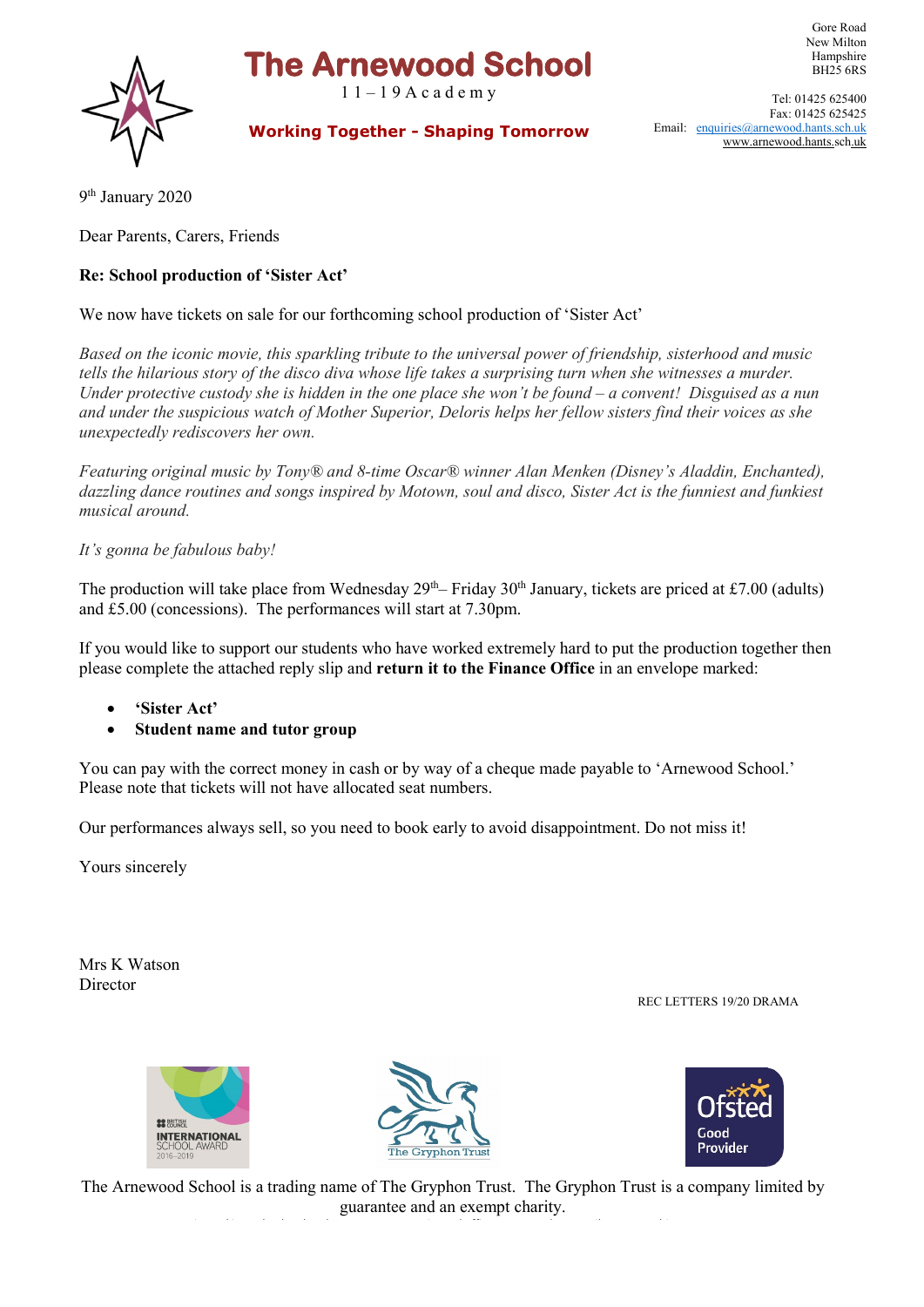## **The Arnewood School**

 $11 - 19$  A c a d e m y



New Milton Hampshire BH25 6RS Tel: 01425 625400

Gore Road

 **Working Together - Shaping Tomorrow**

Fax: 01425 625425 Email: [enquiries@arnewood.hants.sch.uk](mailto:enquiries@arnewood.hants.sch.uk) [www.arnewood.hants.sch.uk](http://www.arnewood.hants.sch.uk/)

9th January 2020

Dear Parents, Carers, Friends

## **Re: School production of 'Sister Act'**

We now have tickets on sale for our forthcoming school production of 'Sister Act'

*Based on the iconic movie, this sparkling tribute to the universal power of friendship, sisterhood and music tells the hilarious story of the disco diva whose life takes a surprising turn when she witnesses a murder. Under protective custody she is hidden in the one place she won't be found – a convent! Disguised as a nun and under the suspicious watch of Mother Superior, Deloris helps her fellow sisters find their voices as she unexpectedly rediscovers her own.*

*Featuring original music by Tony® and 8-time Oscar® winner Alan Menken (Disney's Aladdin, Enchanted), dazzling dance routines and songs inspired by Motown, soul and disco, Sister Act is the funniest and funkiest musical around.*

*It's gonna be fabulous baby!*

The production will take place from Wednesday  $29<sup>th</sup>$ – Friday  $30<sup>th</sup>$  January, tickets are priced at £7.00 (adults) and £5.00 (concessions). The performances will start at 7.30pm.

If you would like to support our students who have worked extremely hard to put the production together then please complete the attached reply slip and **return it to the Finance Office** in an envelope marked:

- **'Sister Act'**
- **Student name and tutor group**

You can pay with the correct money in cash or by way of a cheque made payable to 'Arnewood School.' Please note that tickets will not have allocated seat numbers.

Our performances always sell, so you need to book early to avoid disappointment. Do not miss it!

Yours sincerely

Mrs K Watson Director

REC LETTERS 19/20 DRAMA





i d'alta de la distribució de la contrada de la distribució de la distribució de la distribució de la distribu<br>En la distribució de la distribució de la distribució de la distribució de la distribució de la distribució de



The Arnewood School is a trading name of The Gryphon Trust. The Gryphon Trust is a company limited by guarantee and an exempt charity.